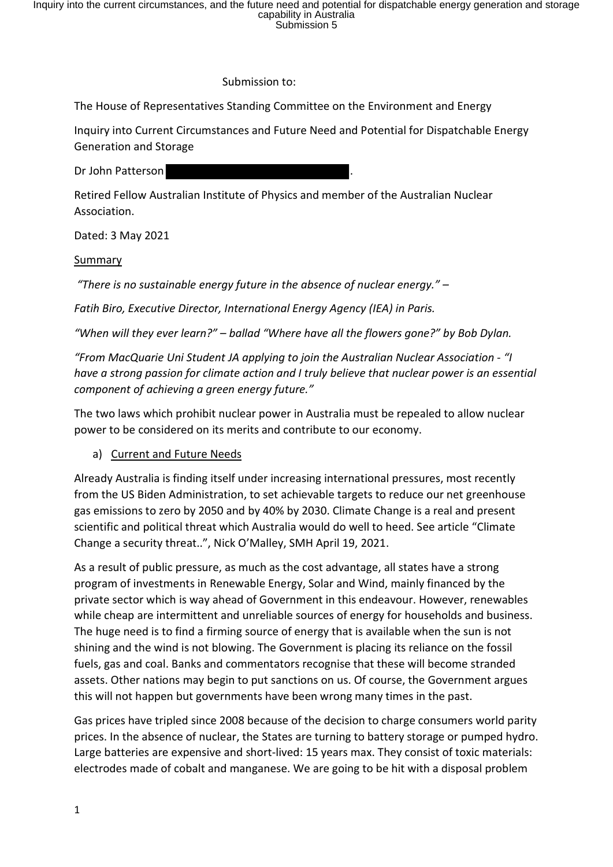Inquiry into the current circumstances, and the future need and potential for dispatchable energy generation and storage<br>capability in Australia<br>Submission 5

#### Submission to:

The House of Representatives Standing Committee on the Environment and Energy

Inquiry into Current Circumstances and Future Need and Potential for Dispatchable Energy Generation and Storage

Dr John Patterson

Retired Fellow Australian Institute of Physics and member of the Australian Nuclear Association.

Dated: 3 May 2021

#### **Summary**

"There is no sustainable energy future in the absence of nuclear energy." –

Fatih Biro, Executive Director, International Energy Agency (IEA) in Paris.

"When will they ever learn?" – ballad "Where have all the flowers gone?" by Bob Dylan.

"From MacQuarie Uni Student JA applying to join the Australian Nuclear Association - "I have a strong passion for climate action and I truly believe that nuclear power is an essential component of achieving a green energy future."

The two laws which prohibit nuclear power in Australia must be repealed to allow nuclear power to be considered on its merits and contribute to our economy.

### a) Current and Future Needs

Already Australia is finding itself under increasing international pressures, most recently from the US Biden Administration, to set achievable targets to reduce our net greenhouse gas emissions to zero by 2050 and by 40% by 2030. Climate Change is a real and present scientific and political threat which Australia would do well to heed. See article "Climate Change a security threat..", Nick O'Malley, SMH April 19, 2021.

As a result of public pressure, as much as the cost advantage, all states have a strong program of investments in Renewable Energy, Solar and Wind, mainly financed by the private sector which is way ahead of Government in this endeavour. However, renewables while cheap are intermittent and unreliable sources of energy for households and business. The huge need is to find a firming source of energy that is available when the sun is not shining and the wind is not blowing. The Government is placing its reliance on the fossil fuels, gas and coal. Banks and commentators recognise that these will become stranded assets. Other nations may begin to put sanctions on us. Of course, the Government argues this will not happen but governments have been wrong many times in the past.

Gas prices have tripled since 2008 because of the decision to charge consumers world parity prices. In the absence of nuclear, the States are turning to battery storage or pumped hydro. Large batteries are expensive and short-lived: 15 years max. They consist of toxic materials: electrodes made of cobalt and manganese. We are going to be hit with a disposal problem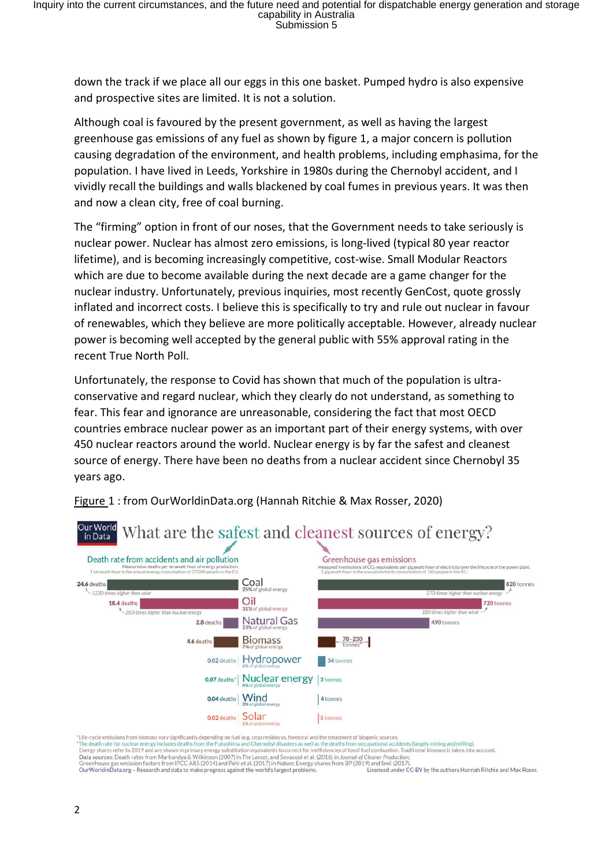down the track if we place all our eggs in this one basket. Pumped hydro is also expensive and prospective sites are limited. It is not a solution.

Although coal is favoured by the present government, as well as having the largest greenhouse gas emissions of any fuel as shown by figure 1, a major concern is pollution causing degradation of the environment, and health problems, including emphasima, for the population. I have lived in Leeds, Yorkshire in 1980s during the Chernobyl accident, and I vividly recall the buildings and walls blackened by coal fumes in previous years. It was then and now a clean city, free of coal burning.

The "firming" option in front of our noses, that the Government needs to take seriously is nuclear power. Nuclear has almost zero emissions, is long-lived (typical 80 year reactor lifetime), and is becoming increasingly competitive, cost-wise. Small Modular Reactors which are due to become available during the next decade are a game changer for the nuclear industry. Unfortunately, previous inquiries, most recently GenCost, quote grossly inflated and incorrect costs. I believe this is specifically to try and rule out nuclear in favour of renewables, which they believe are more politically acceptable. However, already nuclear power is becoming well accepted by the general public with 55% approval rating in the recent True North Poll.

Unfortunately, the response to Covid has shown that much of the population is ultraconservative and regard nuclear, which they clearly do not understand, as something to fear. This fear and ignorance are unreasonable, considering the fact that most OECD countries embrace nuclear power as an important part of their energy systems, with over 450 nuclear reactors around the world. Nuclear energy is by far the safest and cleanest source of energy. There have been no deaths from a nuclear accident since Chernobyl 35 years ago.



Figure 1 : from OurWorldinData.org (Hannah Ritchie & Max Rosser, 2020)

"Life-cycle emissions from biomass vary significantly depending on fuel (e.g. crop resides vs. forestry) and the treatment of biogenic sources

"The death rate for nuclear energy includes deaths from the Fukushima and Chernobyl disasters as well as the deaths from occupational accidents (largely mining and milling).<br>Energy shares refer to 2019 and are shown in pri

Examples the contract of the lancet, and Sovacool et al. (2016) in Journal of Cleaner Production<br>Greenhouse gas emission factors from IPCC AR5 (2014) and Pehl et al. (2017) in Mature; Energy shares from BP (2017) and Smil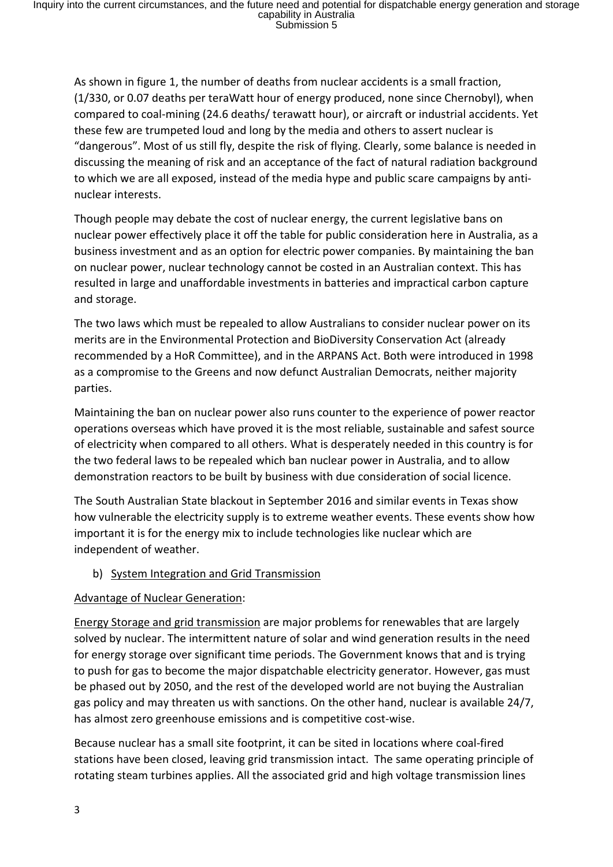As shown in figure 1, the number of deaths from nuclear accidents is a small fraction, (1/330, or 0.07 deaths per teraWatt hour of energy produced, none since Chernobyl), when compared to coal-mining (24.6 deaths/ terawatt hour), or aircraft or industrial accidents. Yet these few are trumpeted loud and long by the media and others to assert nuclear is "dangerous". Most of us still fly, despite the risk of flying. Clearly, some balance is needed in discussing the meaning of risk and an acceptance of the fact of natural radiation background to which we are all exposed, instead of the media hype and public scare campaigns by antinuclear interests.

Though people may debate the cost of nuclear energy, the current legislative bans on nuclear power effectively place it off the table for public consideration here in Australia, as a business investment and as an option for electric power companies. By maintaining the ban on nuclear power, nuclear technology cannot be costed in an Australian context. This has resulted in large and unaffordable investments in batteries and impractical carbon capture and storage.

The two laws which must be repealed to allow Australians to consider nuclear power on its merits are in the Environmental Protection and BioDiversity Conservation Act (already recommended by a HoR Committee), and in the ARPANS Act. Both were introduced in 1998 as a compromise to the Greens and now defunct Australian Democrats, neither majority parties.

Maintaining the ban on nuclear power also runs counter to the experience of power reactor operations overseas which have proved it is the most reliable, sustainable and safest source of electricity when compared to all others. What is desperately needed in this country is for the two federal laws to be repealed which ban nuclear power in Australia, and to allow demonstration reactors to be built by business with due consideration of social licence.

The South Australian State blackout in September 2016 and similar events in Texas show how vulnerable the electricity supply is to extreme weather events. These events show how important it is for the energy mix to include technologies like nuclear which are independent of weather.

b) System Integration and Grid Transmission

# Advantage of Nuclear Generation:

Energy Storage and grid transmission are major problems for renewables that are largely solved by nuclear. The intermittent nature of solar and wind generation results in the need for energy storage over significant time periods. The Government knows that and is trying to push for gas to become the major dispatchable electricity generator. However, gas must be phased out by 2050, and the rest of the developed world are not buying the Australian gas policy and may threaten us with sanctions. On the other hand, nuclear is available 24/7, has almost zero greenhouse emissions and is competitive cost-wise.

Because nuclear has a small site footprint, it can be sited in locations where coal-fired stations have been closed, leaving grid transmission intact. The same operating principle of rotating steam turbines applies. All the associated grid and high voltage transmission lines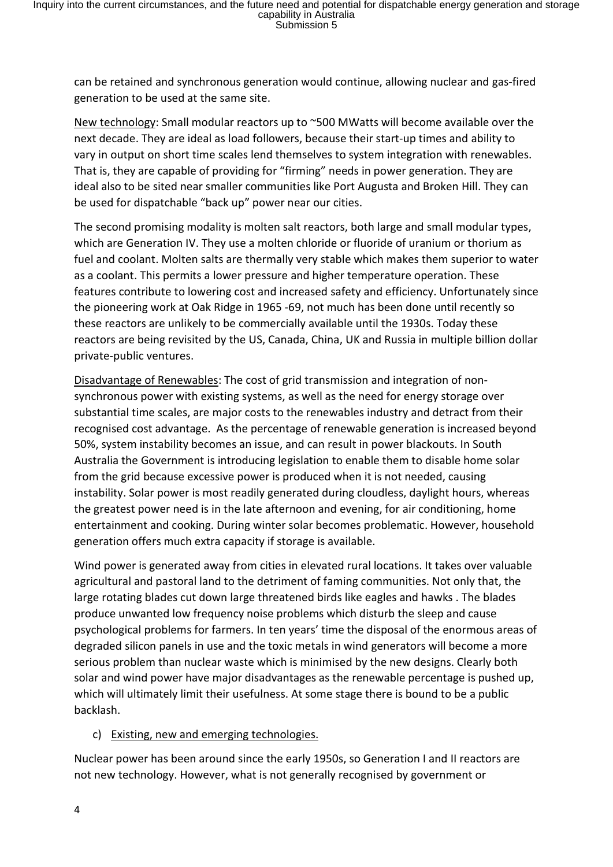can be retained and synchronous generation would continue, allowing nuclear and gas-fired generation to be used at the same site.

New technology: Small modular reactors up to ~500 MWatts will become available over the next decade. They are ideal as load followers, because their start-up times and ability to vary in output on short time scales lend themselves to system integration with renewables. That is, they are capable of providing for "firming" needs in power generation. They are ideal also to be sited near smaller communities like Port Augusta and Broken Hill. They can be used for dispatchable "back up" power near our cities.

The second promising modality is molten salt reactors, both large and small modular types, which are Generation IV. They use a molten chloride or fluoride of uranium or thorium as fuel and coolant. Molten salts are thermally very stable which makes them superior to water as a coolant. This permits a lower pressure and higher temperature operation. These features contribute to lowering cost and increased safety and efficiency. Unfortunately since the pioneering work at Oak Ridge in 1965 -69, not much has been done until recently so these reactors are unlikely to be commercially available until the 1930s. Today these reactors are being revisited by the US, Canada, China, UK and Russia in multiple billion dollar private-public ventures.

Disadvantage of Renewables: The cost of grid transmission and integration of nonsynchronous power with existing systems, as well as the need for energy storage over substantial time scales, are major costs to the renewables industry and detract from their recognised cost advantage. As the percentage of renewable generation is increased beyond 50%, system instability becomes an issue, and can result in power blackouts. In South Australia the Government is introducing legislation to enable them to disable home solar from the grid because excessive power is produced when it is not needed, causing instability. Solar power is most readily generated during cloudless, daylight hours, whereas the greatest power need is in the late afternoon and evening, for air conditioning, home entertainment and cooking. During winter solar becomes problematic. However, household generation offers much extra capacity if storage is available.

Wind power is generated away from cities in elevated rural locations. It takes over valuable agricultural and pastoral land to the detriment of faming communities. Not only that, the large rotating blades cut down large threatened birds like eagles and hawks . The blades produce unwanted low frequency noise problems which disturb the sleep and cause psychological problems for farmers. In ten years' time the disposal of the enormous areas of degraded silicon panels in use and the toxic metals in wind generators will become a more serious problem than nuclear waste which is minimised by the new designs. Clearly both solar and wind power have major disadvantages as the renewable percentage is pushed up, which will ultimately limit their usefulness. At some stage there is bound to be a public backlash.

### c) Existing, new and emerging technologies.

Nuclear power has been around since the early 1950s, so Generation I and II reactors are not new technology. However, what is not generally recognised by government or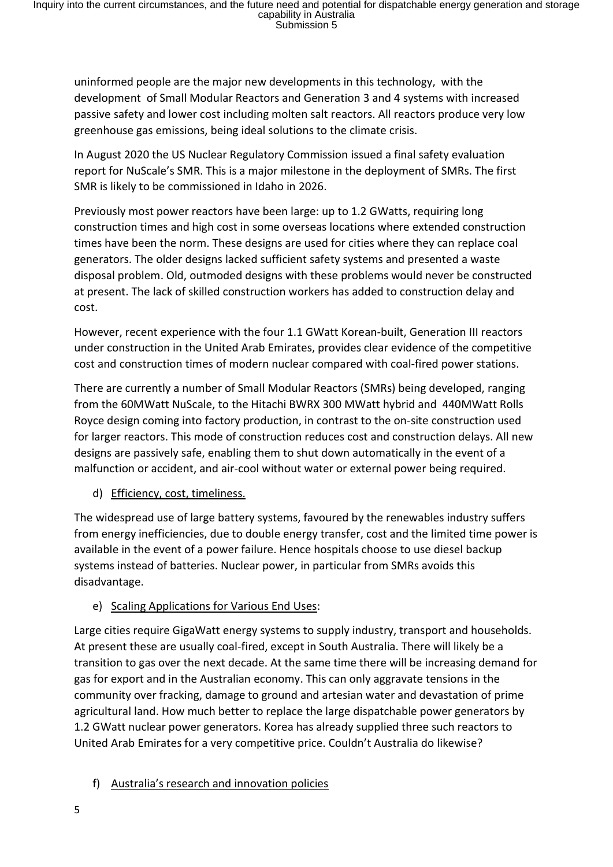uninformed people are the major new developments in this technology, with the development of Small Modular Reactors and Generation 3 and 4 systems with increased passive safety and lower cost including molten salt reactors. All reactors produce very low greenhouse gas emissions, being ideal solutions to the climate crisis.

In August 2020 the US Nuclear Regulatory Commission issued a final safety evaluation report for NuScale's SMR. This is a major milestone in the deployment of SMRs. The first SMR is likely to be commissioned in Idaho in 2026.

Previously most power reactors have been large: up to 1.2 GWatts, requiring long construction times and high cost in some overseas locations where extended construction times have been the norm. These designs are used for cities where they can replace coal generators. The older designs lacked sufficient safety systems and presented a waste disposal problem. Old, outmoded designs with these problems would never be constructed at present. The lack of skilled construction workers has added to construction delay and cost.

However, recent experience with the four 1.1 GWatt Korean-built, Generation III reactors under construction in the United Arab Emirates, provides clear evidence of the competitive cost and construction times of modern nuclear compared with coal-fired power stations.

There are currently a number of Small Modular Reactors (SMRs) being developed, ranging from the 60MWatt NuScale, to the Hitachi BWRX 300 MWatt hybrid and 440MWatt Rolls Royce design coming into factory production, in contrast to the on-site construction used for larger reactors. This mode of construction reduces cost and construction delays. All new designs are passively safe, enabling them to shut down automatically in the event of a malfunction or accident, and air-cool without water or external power being required.

d) Efficiency, cost, timeliness.

The widespread use of large battery systems, favoured by the renewables industry suffers from energy inefficiencies, due to double energy transfer, cost and the limited time power is available in the event of a power failure. Hence hospitals choose to use diesel backup systems instead of batteries. Nuclear power, in particular from SMRs avoids this disadvantage.

# e) Scaling Applications for Various End Uses:

Large cities require GigaWatt energy systems to supply industry, transport and households. At present these are usually coal-fired, except in South Australia. There will likely be a transition to gas over the next decade. At the same time there will be increasing demand for gas for export and in the Australian economy. This can only aggravate tensions in the community over fracking, damage to ground and artesian water and devastation of prime agricultural land. How much better to replace the large dispatchable power generators by 1.2 GWatt nuclear power generators. Korea has already supplied three such reactors to United Arab Emirates for a very competitive price. Couldn't Australia do likewise?

f) Australia's research and innovation policies